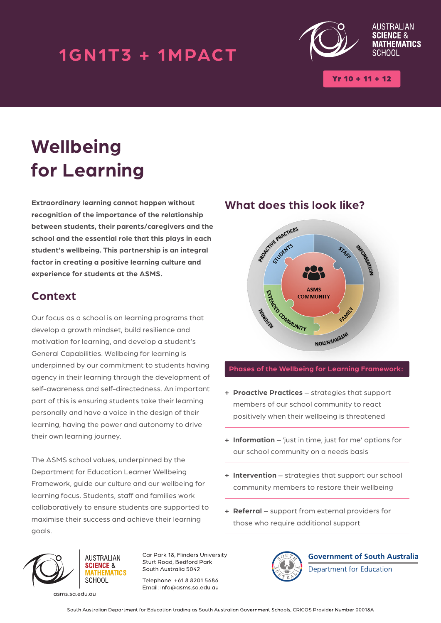## 1GN1T3 + 1MPACT



 $Yr 10 + 11 + 12$ 

# **Wellbeing for Learning**

**Extraordinary learning cannot happen without recognition of the importance of the relationship between students, their parents/caregivers and the school and the essential role that this plays in each student's wellbeing. This partnership is an integral factor in creating a positive learning culture and experience for students at the ASMS.**

### **Context**

Our focus as a school is on learning programs that develop a growth mindset, build resilience and motivation for learning, and develop a student's General Capabilities. Wellbeing for learning is underpinned by our commitment to students having agency in their learning through the development of self-awareness and self-directedness. An important part of this is ensuring students take their learning personally and have a voice in the design of their learning, having the power and autonomy to drive their own learning journey.

The ASMS school values, underpinned by the Department for Education Learner Wellbeing Framework, guide our culture and our wellbeing for learning focus. Students, staff and families work collaboratively to ensure students are supported to maximise their success and achieve their learning goals.

### **What does this look like?**



#### **Phases of the Wellbeing for Learning Framework:**

- **+ Proactive Practices** strategies that support members of our school community to react positively when their wellbeing is threatened
- **+ Information** 'just in time, just for me' options for our school community on a needs basis
- **+ Intervention** strategies that support our school community members to restore their wellbeing
- **+ Referral** support from external providers for those who require additional support



asms.sa.edu.au

**AUSTRALIAN SCIENCE &** *<u>ATHEMATICS</u>* SCHOOL

Car Park 18, Flinders University Sturt Road, Bedford Park South Australia 5042

Telephone: +61 8 8201 5686 Email: info@asms.sa.edu.au



**Government of South Australia** 

Department for Education